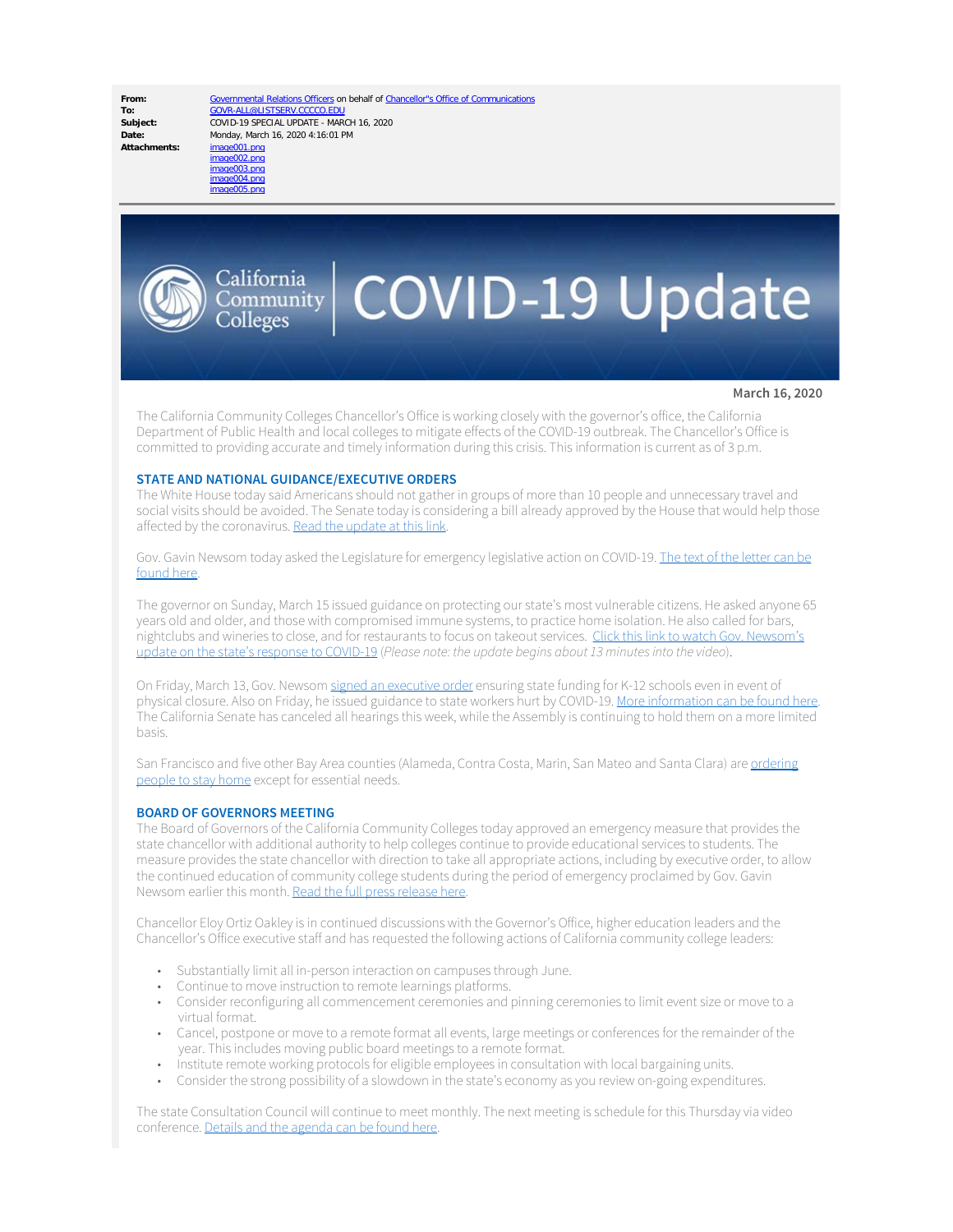Date: Monday, March 16, 2020 4:16:01 PM<br>Attachments: image001.ppg

**From:** [Governmental Relations Officers](mailto:GOVR-ALL@LISTSERV.CCCCO.EDU) on behalf of [Chancellor"s Office of Communications](mailto:Communications@CCCCO.EDU) To:<br> [GOVR-ALL@LISTSERV.CCCCO.EDU](mailto:GOVR-ALL@LISTSERV.CCCCO.EDU)<br>
COVID-19 SPECIAL UPDATE - MAR **Subject:** COVID-19 SPECIAL UPDATE - MARCH 16, 2020



# $\left| \mathrm{C}_{\mathrm{OInmunity}}^{\mathrm{California}} \right|$  COVID-19 Update

**March 16, 2020**

The California Community Colleges Chancellor's Office is working closely with the governor's office, the California Department of Public Health and local colleges to mitigate effects of the COVID-19 outbreak. The Chancellor's Office is committed to providing accurate and timely information during this crisis. This information is current as of 3 p.m.

### **STATE AND NATIONAL GUIDANCE/EXECUTIVE ORDERS**

The White House today said Americans should not gather in groups of more than 10 people and unnecessary travel and social visits should be avoided. The Senate today is considering a bill already approved by the House that would help those affected by the coronavirus. [Read the update at this link](https://www.cccco.edu/-/media/CCCCO-Website/Files/Communications/COVID-19/federal-update-coronavirus-03162020).

Gov. Gavin Newsom today asked the Legislature for emergency legislative action on COVID-19. [The text of the letter can be](https://www.gov.ca.gov/wp-content/uploads/2020/03/3.16.20-File-Notice-Letter.pdf) [found here.](https://www.gov.ca.gov/wp-content/uploads/2020/03/3.16.20-File-Notice-Letter.pdf)

The governor on Sunday, March 15 issued guidance on protecting our state's most vulnerable citizens. He asked anyone 65 years old and older, and those with compromised immune systems, to practice home isolation. He also called for bars, nightclubs and wineries to close, and for restaurants to focus on takeout services. [Click this link to watch Gov. Newsom's](https://twitter.com/i/broadcasts/1vAxRBpALPaxl) [update on the state's response to COVID-19](https://twitter.com/i/broadcasts/1vAxRBpALPaxl) (*Please note: the update begins about 13 minutes into the video*).

On Friday, March 13, Gov. Newsom [signed an executive order](https://www.gov.ca.gov/wp-content/uploads/2020/03/3.13.20-EO-N-26-20-Schools.pdf) ensuring state funding for K-12 schools even in event of physical closure. Also on Friday, he issued guidance to state workers hurt by COVID-19. [More information can be found here](https://www.gov.ca.gov/2020/03/13/governor-newsom-signs-executive-order-ensuring-state-funding-for-schools-even-in-event-of-physical-closure/). The California Senate has canceled all hearings this week, while the Assembly is continuing to hold them on a more limited basis.

San Francisco and five other Bay Area counties (Alameda, Contra Costa, Marin, San Mateo and Santa Clara) are [ordering](https://sf.gov/stay-home-except-essential-needs) [people to stay home](https://sf.gov/stay-home-except-essential-needs) except for essential needs.

### **BOARD OF GOVERNORS MEETING**

The Board of Governors of the California Community Colleges today approved an emergency measure that provides the state chancellor with additional authority to help colleges continue to provide educational services to students. The measure provides the state chancellor with direction to take all appropriate actions, including by executive order, to allow the continued education of community college students during the period of emergency proclaimed by Gov. Gavin Newsom earlier this month. [Read the full press release here](https://www.cccco.edu/About-Us/News-and-Media/Press-Releases/2020-BOG-Emergency-Powers-PR).

Chancellor Eloy Ortiz Oakley is in continued discussions with the Governor's Office, higher education leaders and the Chancellor's Office executive staff and has requested the following actions of California community college leaders:

- Substantially limit all in-person interaction on campuses through June.
- Continue to move instruction to remote learnings platforms.
- Consider reconfiguring all commencement ceremonies and pinning ceremonies to limit event size or move to a virtual format.
- Cancel, postpone or move to a remote format all events, large meetings or conferences for the remainder of the year. This includes moving public board meetings to a remote format.
- Institute remote working protocols for eligible employees in consultation with local bargaining units.
- Consider the strong possibility of a slowdown in the state's economy as you review on-going expenditures.

The state Consultation Council will continue to meet monthly. The next meeting is schedule for this Thursday via video conference. [Details and the agenda can be found here](https://www.cccco.edu/-/media/CCCCO-Website/Files/Consultation-Council/2020/cc-agenda-03-19-2020-a11y.pdf?la=en&hash=C6AF8C0226FE862CA30B35DEC75F990989F160A1).